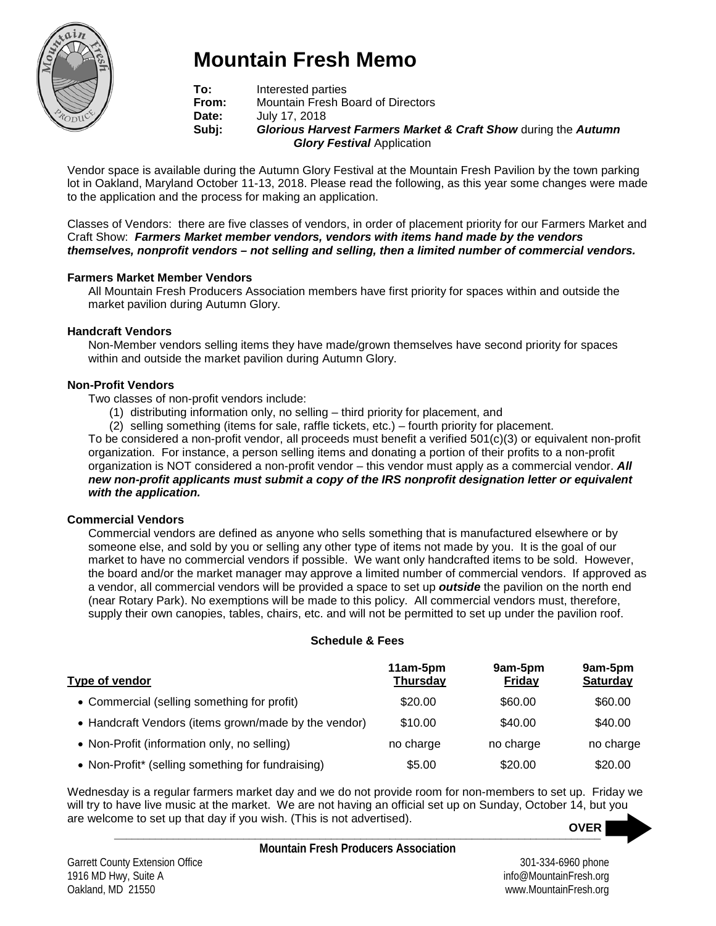

# **Mountain Fresh Memo**

**To:** Interested parties<br> **From:** Mountain Fresh B **From:** Mountain Fresh Board of Directors<br>**Date:** July 17, 2018 Date: July 17, 2018<br>**Subi: Glorious Har Subj:** *Glorious Harvest Farmers Market & Craft Show* during the *Autumn Glory Festival* Application

Vendor space is available during the Autumn Glory Festival at the Mountain Fresh Pavilion by the town parking lot in Oakland, Maryland October 11-13, 2018. Please read the following, as this year some changes were made to the application and the process for making an application.

Classes of Vendors: there are five classes of vendors, in order of placement priority for our Farmers Market and Craft Show: *Farmers Market member vendors, vendors with items hand made by the vendors themselves, nonprofit vendors – not selling and selling, then a limited number of commercial vendors.*

#### **Farmers Market Member Vendors**

All Mountain Fresh Producers Association members have first priority for spaces within and outside the market pavilion during Autumn Glory.

## **Handcraft Vendors**

Non-Member vendors selling items they have made/grown themselves have second priority for spaces within and outside the market pavilion during Autumn Glory.

## **Non-Profit Vendors**

Two classes of non-profit vendors include:

- (1) distributing information only, no selling third priority for placement, and
- (2) selling something (items for sale, raffle tickets, etc.) fourth priority for placement.

To be considered a non-profit vendor, all proceeds must benefit a verified 501(c)(3) or equivalent non-profit organization. For instance, a person selling items and donating a portion of their profits to a non-profit organization is NOT considered a non-profit vendor – this vendor must apply as a commercial vendor. *All new non-profit applicants must submit a copy of the IRS nonprofit designation letter or equivalent with the application.*

#### **Commercial Vendors**

Commercial vendors are defined as anyone who sells something that is manufactured elsewhere or by someone else, and sold by you or selling any other type of items not made by you. It is the goal of our market to have no commercial vendors if possible. We want only handcrafted items to be sold. However, the board and/or the market manager may approve a limited number of commercial vendors. If approved as a vendor, all commercial vendors will be provided a space to set up *outside* the pavilion on the north end (near Rotary Park). No exemptions will be made to this policy. All commercial vendors must, therefore, supply their own canopies, tables, chairs, etc. and will not be permitted to set up under the pavilion roof.

#### **Schedule & Fees**

| Type of vendor                                       | 11am-5pm<br><b>Thursday</b> | 9am-5pm<br><b>Friday</b> | 9am-5pm<br><b>Saturday</b> |
|------------------------------------------------------|-----------------------------|--------------------------|----------------------------|
| • Commercial (selling something for profit)          | \$20.00                     | \$60.00                  | \$60.00                    |
| • Handcraft Vendors (items grown/made by the vendor) | \$10.00                     | \$40.00                  | \$40.00                    |
| • Non-Profit (information only, no selling)          | no charge                   | no charge                | no charge                  |
| • Non-Profit* (selling something for fundraising)    | \$5.00                      | \$20.00                  | \$20.00                    |

Wednesday is a regular farmers market day and we do not provide room for non-members to set up. Friday we will try to have live music at the market. We are not having an official set up on Sunday, October 14, but you are welcome to set up that day if you wish. (This is not advertised). **OVER**